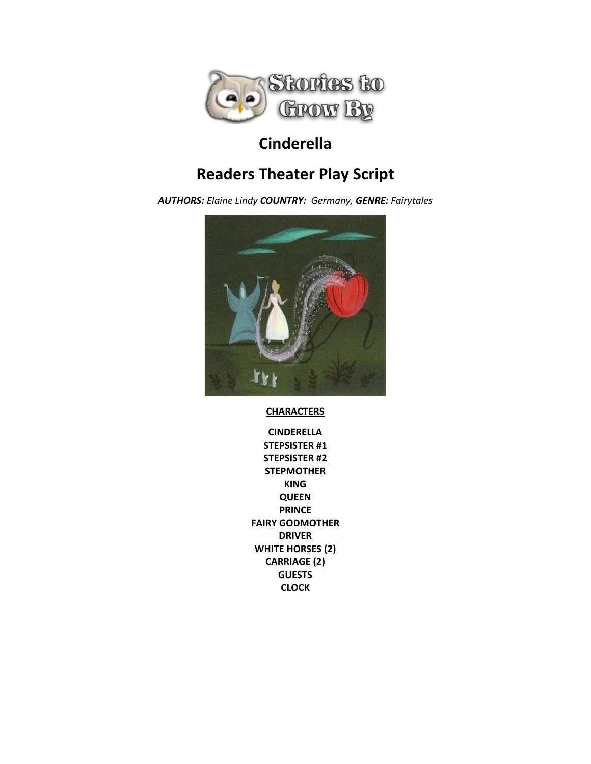

# **Cinderella**

# **Readers Theater Play Script**

*AUTHORS: Elaine Lindy COUNTRY: Germany, GENRE: Fairytales*



**CHARACTERS**

**CINDERELLA STEPSISTER #1 STEPSISTER #2 STEPMOTHER KING QUEEN PRINCE FAIRY GODMOTHER DRIVER WHITE HORSES (2) CARRIAGE (2) GUESTS CLOCK**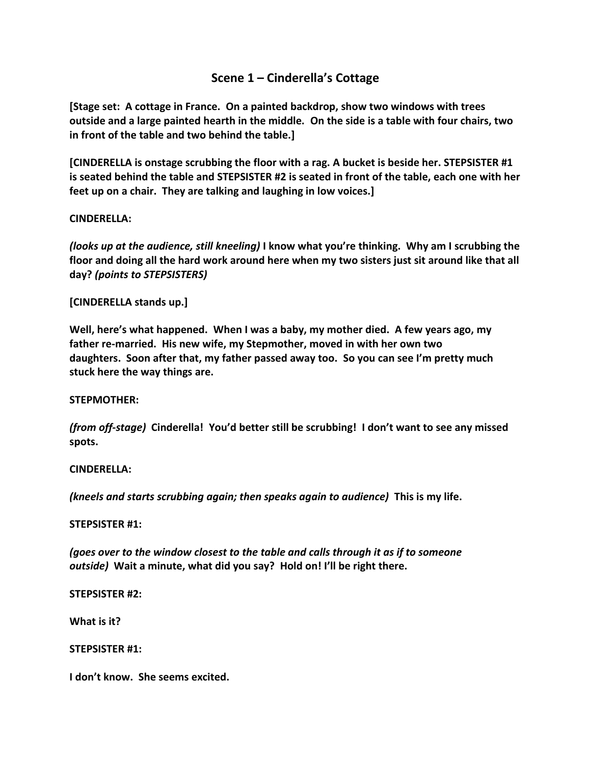# **Scene 1 – Cinderella's Cottage**

**[Stage set: A cottage in France. On a painted backdrop, show two windows with trees outside and a large painted hearth in the middle. On the side is a table with four chairs, two in front of the table and two behind the table.]**

**[CINDERELLA is onstage scrubbing the floor with a rag. A bucket is beside her. STEPSISTER #1 is seated behind the table and STEPSISTER #2 is seated in front of the table, each one with her feet up on a chair. They are talking and laughing in low voices.]**

## **CINDERELLA:**

*(looks up at the audience, still kneeling)* **I know what you're thinking. Why am I scrubbing the floor and doing all the hard work around here when my two sisters just sit around like that all day?** *(points to STEPSISTERS)*

## **[CINDERELLA stands up.]**

**Well, here's what happened. When I was a baby, my mother died. A few years ago, my father re-married. His new wife, my Stepmother, moved in with her own two daughters. Soon after that, my father passed away too. So you can see I'm pretty much stuck here the way things are.** 

#### **STEPMOTHER:**

*(from off-stage)* **Cinderella! You'd better still be scrubbing! I don't want to see any missed spots.**

#### **CINDERELLA:**

*(kneels and starts scrubbing again; then speaks again to audience)* **This is my life.**

#### **STEPSISTER #1:**

*(goes over to the window closest to the table and calls through it as if to someone outside)* **Wait a minute, what did you say? Hold on! I'll be right there.**

**STEPSISTER #2:**

**What is it?**

**STEPSISTER #1:**

**I don't know. She seems excited.**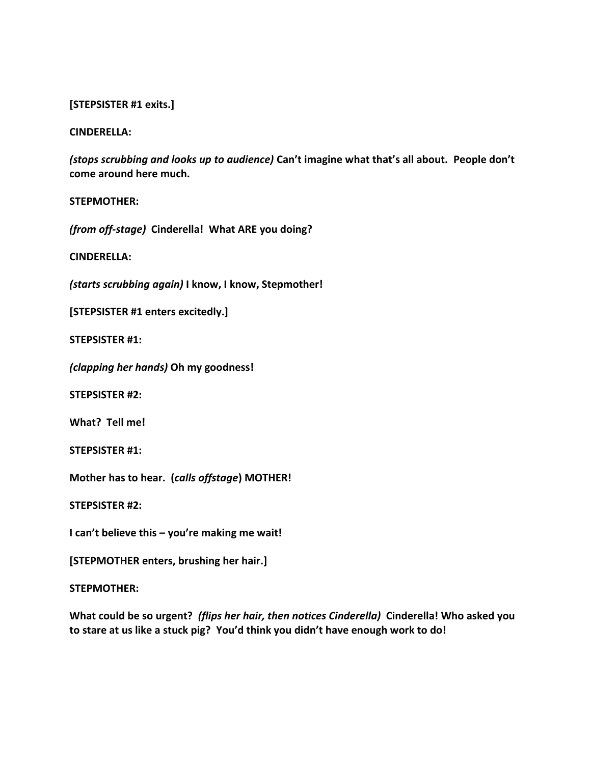## **[STEPSISTER #1 exits.]**

#### **CINDERELLA:**

*(stops scrubbing and looks up to audience)* **Can't imagine what that's all about. People don't come around here much.**

#### **STEPMOTHER:**

*(from off-stage)* **Cinderella! What ARE you doing?**

**CINDERELLA:**

*(starts scrubbing again)* **I know, I know, Stepmother!**

**[STEPSISTER #1 enters excitedly.]**

**STEPSISTER #1:**

*(clapping her hands)* **Oh my goodness!** 

**STEPSISTER #2:**

**What? Tell me!**

**STEPSISTER #1:**

**Mother has to hear. (***calls offstage***) MOTHER!**

**STEPSISTER #2:**

**I can't believe this – you're making me wait!**

**[STEPMOTHER enters, brushing her hair.]**

#### **STEPMOTHER:**

**What could be so urgent?** *(flips her hair, then notices Cinderella)* **Cinderella! Who asked you to stare at us like a stuck pig? You'd think you didn't have enough work to do!**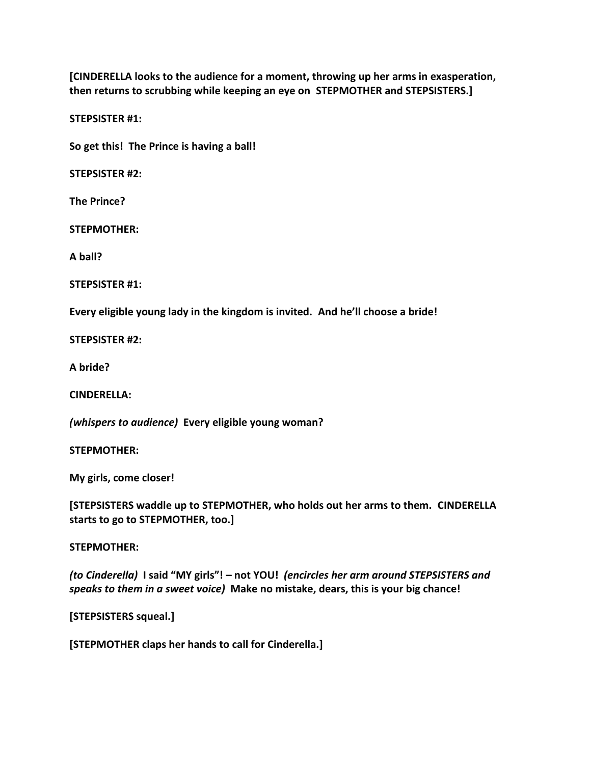**[CINDERELLA looks to the audience for a moment, throwing up her arms in exasperation, then returns to scrubbing while keeping an eye on STEPMOTHER and STEPSISTERS.]**

**STEPSISTER #1:**

**So get this! The Prince is having a ball!**

**STEPSISTER #2:**

**The Prince?**

**STEPMOTHER:**

**A ball?**

**STEPSISTER #1:**

**Every eligible young lady in the kingdom is invited. And he'll choose a bride!**

**STEPSISTER #2:**

**A bride?**

**CINDERELLA:**

*(whispers to audience)* **Every eligible young woman?**

**STEPMOTHER:**

**My girls, come closer!**

**[STEPSISTERS waddle up to STEPMOTHER, who holds out her arms to them. CINDERELLA starts to go to STEPMOTHER, too.]**

**STEPMOTHER:**

*(to Cinderella)* **I said "MY girls"! – not YOU!** *(encircles her arm around STEPSISTERS and speaks to them in a sweet voice)* **Make no mistake, dears, this is your big chance!** 

**[STEPSISTERS squeal.]**

**[STEPMOTHER claps her hands to call for Cinderella.]**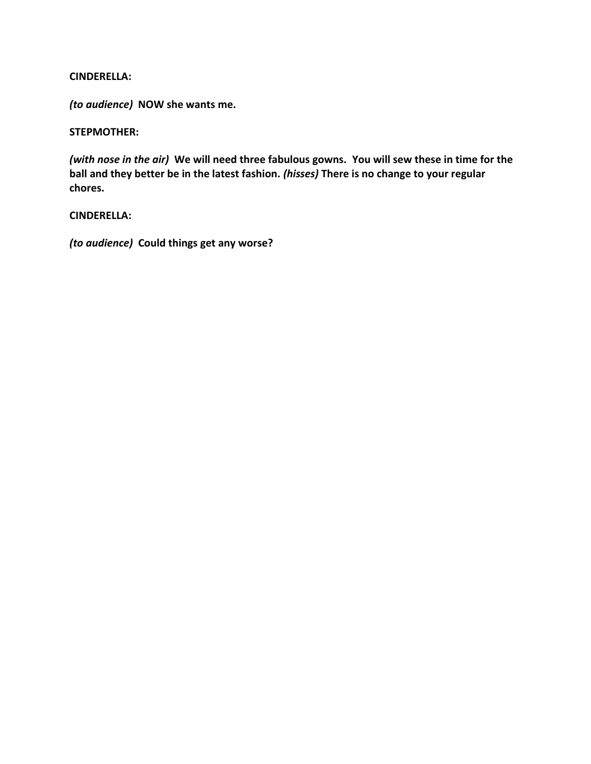*(to audience)* **NOW she wants me.**

## **STEPMOTHER:**

*(with nose in the air)* **We will need three fabulous gowns. You will sew these in time for the ball and they better be in the latest fashion.** *(hisses)* **There is no change to your regular chores.**

## **CINDERELLA:**

*(to audience)* **Could things get any worse?**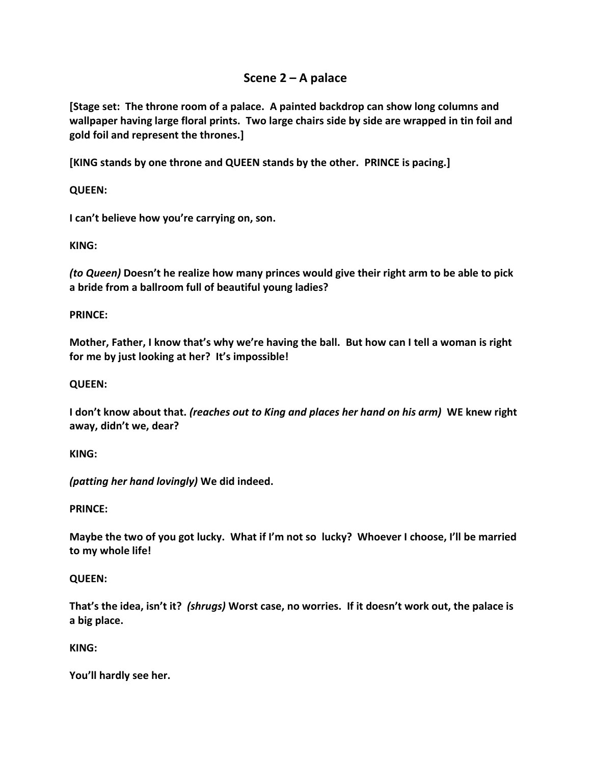# **Scene 2 – A palace**

**[Stage set: The throne room of a palace. A painted backdrop can show long columns and wallpaper having large floral prints. Two large chairs side by side are wrapped in tin foil and gold foil and represent the thrones.]**

**[KING stands by one throne and QUEEN stands by the other. PRINCE is pacing.]**

**QUEEN:**

**I can't believe how you're carrying on, son.**

**KING:**

*(to Queen)* **Doesn't he realize how many princes would give their right arm to be able to pick a bride from a ballroom full of beautiful young ladies?**

# **PRINCE:**

**Mother, Father, I know that's why we're having the ball. But how can I tell a woman is right for me by just looking at her? It's impossible!**

# **QUEEN:**

**I don't know about that.** *(reaches out to King and places her hand on his arm)* **WE knew right away, didn't we, dear?**

# **KING:**

*(patting her hand lovingly)* **We did indeed.**

# **PRINCE:**

**Maybe the two of you got lucky. What if I'm not so lucky? Whoever I choose, I'll be married to my whole life!**

# **QUEEN:**

**That's the idea, isn't it?** *(shrugs)* **Worst case, no worries. If it doesn't work out, the palace is a big place.**

# **KING:**

**You'll hardly see her.**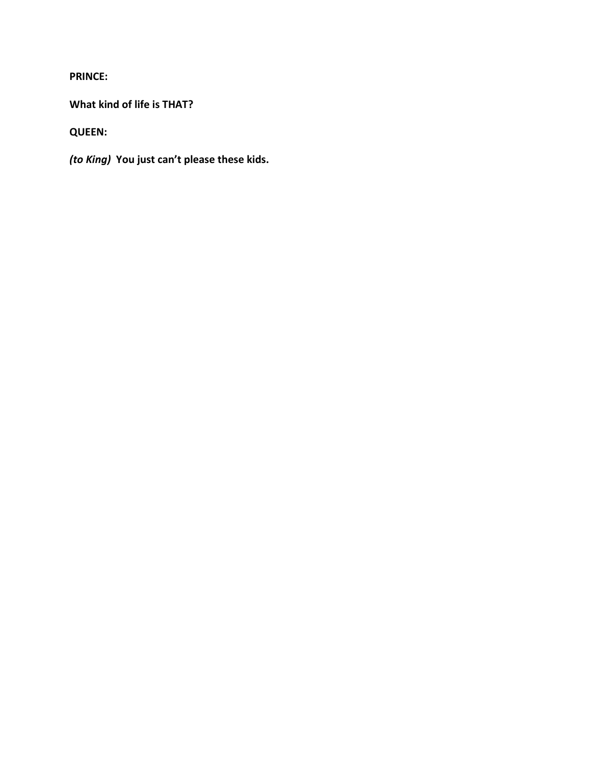**PRINCE:**

**What kind of life is THAT?**

**QUEEN:**

*(to King)* **You just can't please these kids.**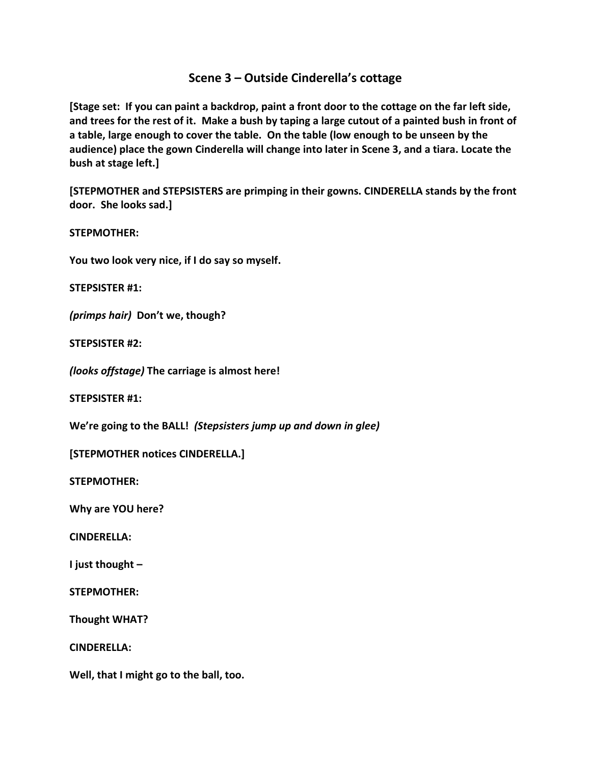# **Scene 3 – Outside Cinderella's cottage**

**[Stage set: If you can paint a backdrop, paint a front door to the cottage on the far left side, and trees for the rest of it. Make a bush by taping a large cutout of a painted bush in front of a table, large enough to cover the table. On the table (low enough to be unseen by the audience) place the gown Cinderella will change into later in Scene 3, and a tiara. Locate the bush at stage left.]**

**[STEPMOTHER and STEPSISTERS are primping in their gowns. CINDERELLA stands by the front door. She looks sad.]**

**STEPMOTHER:**

**You two look very nice, if I do say so myself.**

**STEPSISTER #1:**

*(primps hair)* **Don't we, though?**

**STEPSISTER #2:**

*(looks offstage)* **The carriage is almost here!**

**STEPSISTER #1:**

**We're going to the BALL!** *(Stepsisters jump up and down in glee)*

**[STEPMOTHER notices CINDERELLA.]**

**STEPMOTHER:**

**Why are YOU here?**

**CINDERELLA:**

**I just thought –**

**STEPMOTHER:**

**Thought WHAT?**

**CINDERELLA:**

**Well, that I might go to the ball, too.**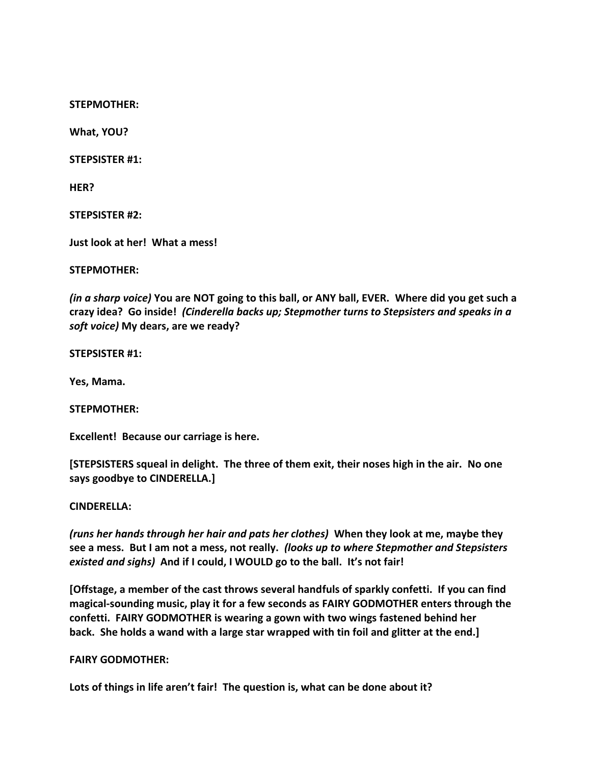**STEPMOTHER:**

**What, YOU?**

**STEPSISTER #1:**

**HER?**

**STEPSISTER #2:**

**Just look at her! What a mess!**

**STEPMOTHER:**

*(in a sharp voice)* **You are NOT going to this ball, or ANY ball, EVER. Where did you get such a crazy idea? Go inside!** *(Cinderella backs up; Stepmother turns to Stepsisters and speaks in a soft voice)* **My dears, are we ready?**

**STEPSISTER #1:**

**Yes, Mama.**

**STEPMOTHER:**

**Excellent! Because our carriage is here.**

**[STEPSISTERS squeal in delight. The three of them exit, their noses high in the air. No one says goodbye to CINDERELLA.]**

#### **CINDERELLA:**

*(runs her hands through her hair and pats her clothes)* **When they look at me, maybe they see a mess. But I am not a mess, not really.** *(looks up to where Stepmother and Stepsisters existed and sighs)* **And if I could, I WOULD go to the ball. It's not fair!**

**[Offstage, a member of the cast throws several handfuls of sparkly confetti. If you can find magical-sounding music, play it for a few seconds as FAIRY GODMOTHER enters through the confetti. FAIRY GODMOTHER is wearing a gown with two wings fastened behind her back. She holds a wand with a large star wrapped with tin foil and glitter at the end.]**

**FAIRY GODMOTHER:**

**Lots of things in life aren't fair! The question is, what can be done about it?**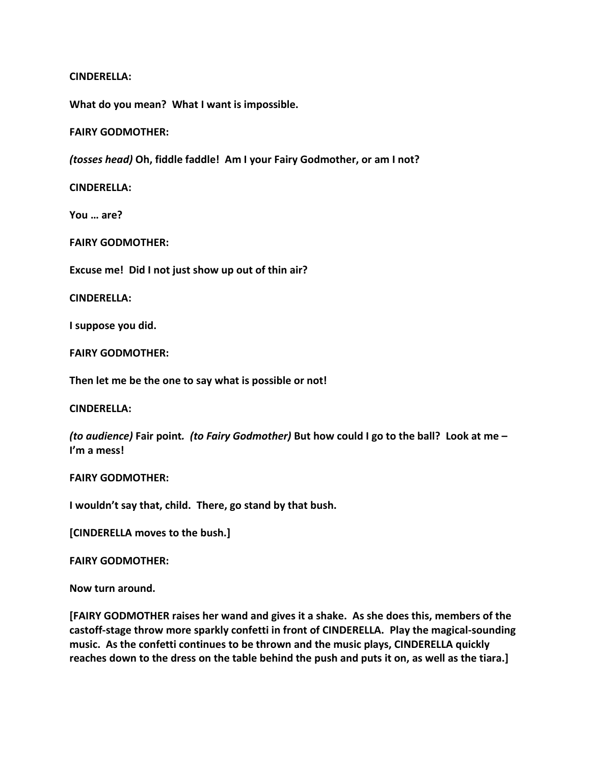**What do you mean? What I want is impossible.**

## **FAIRY GODMOTHER:**

*(tosses head)* **Oh, fiddle faddle! Am I your Fairy Godmother, or am I not?**

**CINDERELLA:**

**You … are?**

**FAIRY GODMOTHER:**

**Excuse me! Did I not just show up out of thin air?**

**CINDERELLA:**

**I suppose you did.**

**FAIRY GODMOTHER:**

**Then let me be the one to say what is possible or not!**

**CINDERELLA:**

*(to audience)* **Fair point***. (to Fairy Godmother)* **But how could I go to the ball? Look at me – I'm a mess!**

**FAIRY GODMOTHER:**

**I wouldn't say that, child. There, go stand by that bush.**

**[CINDERELLA moves to the bush.]**

**FAIRY GODMOTHER:**

**Now turn around.** 

**[FAIRY GODMOTHER raises her wand and gives it a shake. As she does this, members of the castoff-stage throw more sparkly confetti in front of CINDERELLA. Play the magical-sounding music. As the confetti continues to be thrown and the music plays, CINDERELLA quickly reaches down to the dress on the table behind the push and puts it on, as well as the tiara.]**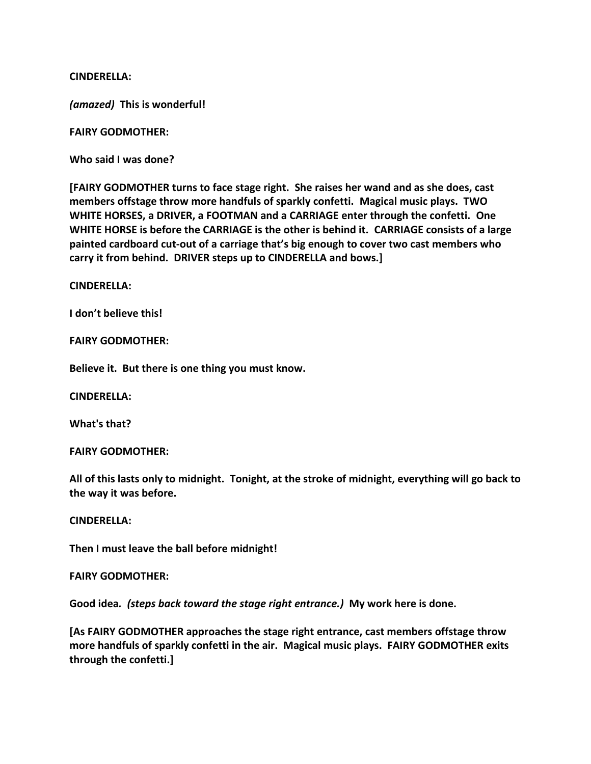*(amazed)* **This is wonderful!**

**FAIRY GODMOTHER:**

**Who said I was done?**

**[FAIRY GODMOTHER turns to face stage right. She raises her wand and as she does, cast members offstage throw more handfuls of sparkly confetti. Magical music plays. TWO WHITE HORSES, a DRIVER, a FOOTMAN and a CARRIAGE enter through the confetti. One WHITE HORSE is before the CARRIAGE is the other is behind it. CARRIAGE consists of a large painted cardboard cut-out of a carriage that's big enough to cover two cast members who carry it from behind. DRIVER steps up to CINDERELLA and bows.]**

#### **CINDERELLA:**

**I don't believe this!**

**FAIRY GODMOTHER:**

**Believe it. But there is one thing you must know.**

**CINDERELLA:**

**What's that?** 

**FAIRY GODMOTHER:**

**All of this lasts only to midnight. Tonight, at the stroke of midnight, everything will go back to the way it was before.**

**CINDERELLA:**

**Then I must leave the ball before midnight!**

**FAIRY GODMOTHER:**

**Good idea***. (steps back toward the stage right entrance.)* **My work here is done.**

**[As FAIRY GODMOTHER approaches the stage right entrance, cast members offstage throw more handfuls of sparkly confetti in the air. Magical music plays. FAIRY GODMOTHER exits through the confetti.]**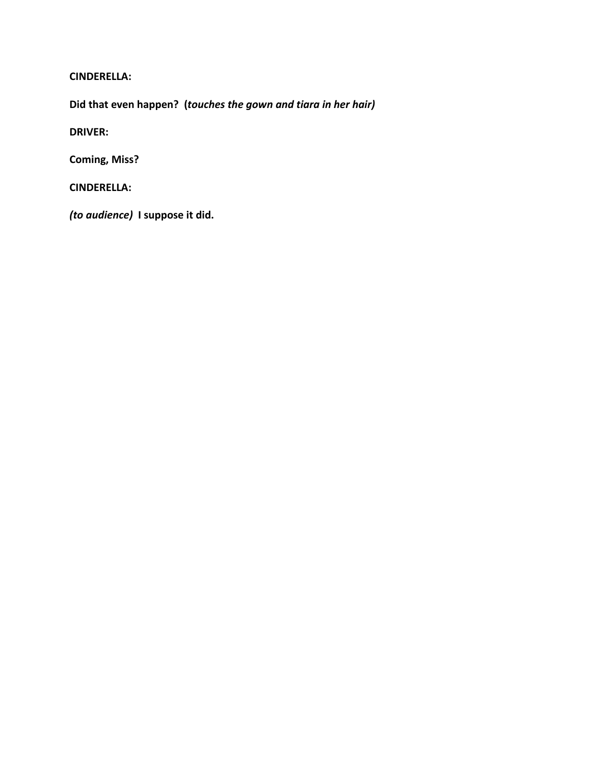**Did that even happen? (***touches the gown and tiara in her hair)*

**DRIVER:**

**Coming, Miss?**

**CINDERELLA:**

*(to audience)* **I suppose it did.**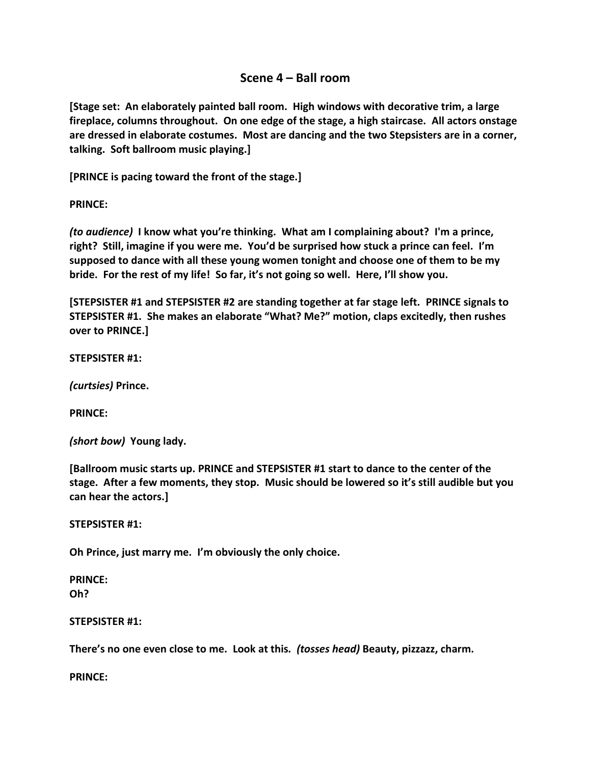# **Scene 4 – Ball room**

**[Stage set: An elaborately painted ball room. High windows with decorative trim, a large fireplace, columns throughout. On one edge of the stage, a high staircase. All actors onstage are dressed in elaborate costumes. Most are dancing and the two Stepsisters are in a corner, talking. Soft ballroom music playing.]**

**[PRINCE is pacing toward the front of the stage.]**

**PRINCE:**

*(to audience)* **I know what you're thinking. What am I complaining about? I'm a prince, right? Still, imagine if you were me. You'd be surprised how stuck a prince can feel. I'm supposed to dance with all these young women tonight and choose one of them to be my bride. For the rest of my life! So far, it's not going so well. Here, I'll show you.**

**[STEPSISTER #1 and STEPSISTER #2 are standing together at far stage left. PRINCE signals to STEPSISTER #1. She makes an elaborate "What? Me?" motion, claps excitedly, then rushes over to PRINCE.]**

**STEPSISTER #1:**

*(curtsies)* **Prince.**

**PRINCE:**

*(short bow)* **Young lady.**

**[Ballroom music starts up. PRINCE and STEPSISTER #1 start to dance to the center of the stage. After a few moments, they stop. Music should be lowered so it's still audible but you can hear the actors.]**

**STEPSISTER #1:**

**Oh Prince, just marry me. I'm obviously the only choice.**

**PRINCE: Oh?**

**STEPSISTER #1:**

**There's no one even close to me. Look at this***. (tosses head)* **Beauty, pizzazz, charm.**

**PRINCE:**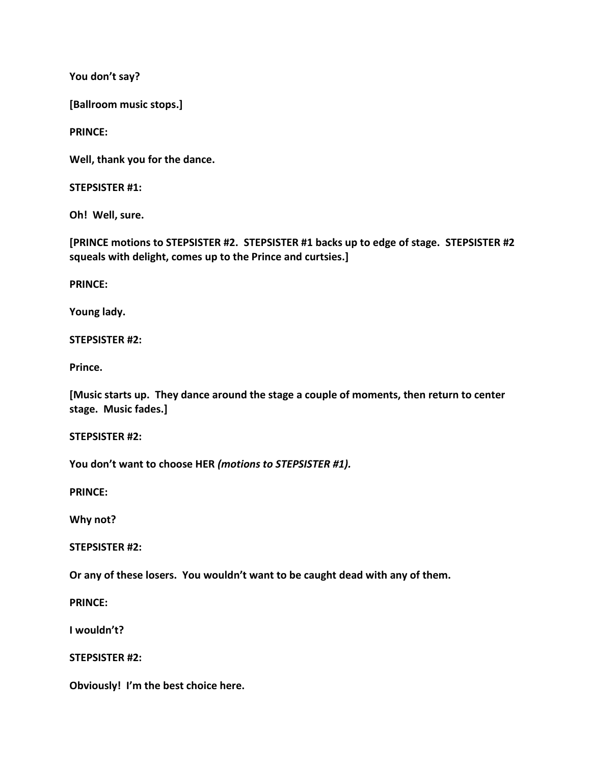**You don't say?**

**[Ballroom music stops.]**

**PRINCE:**

**Well, thank you for the dance.**

**STEPSISTER #1:**

**Oh! Well, sure.**

**[PRINCE motions to STEPSISTER #2. STEPSISTER #1 backs up to edge of stage. STEPSISTER #2 squeals with delight, comes up to the Prince and curtsies.]**

**PRINCE:**

**Young lady.**

**STEPSISTER #2:**

**Prince.**

**[Music starts up. They dance around the stage a couple of moments, then return to center stage. Music fades.]**

**STEPSISTER #2:**

**You don't want to choose HER** *(motions to STEPSISTER #1).*

**PRINCE:**

**Why not?**

**STEPSISTER #2:**

**Or any of these losers. You wouldn't want to be caught dead with any of them.**

**PRINCE:**

**I wouldn't?**

**STEPSISTER #2:** 

**Obviously! I'm the best choice here.**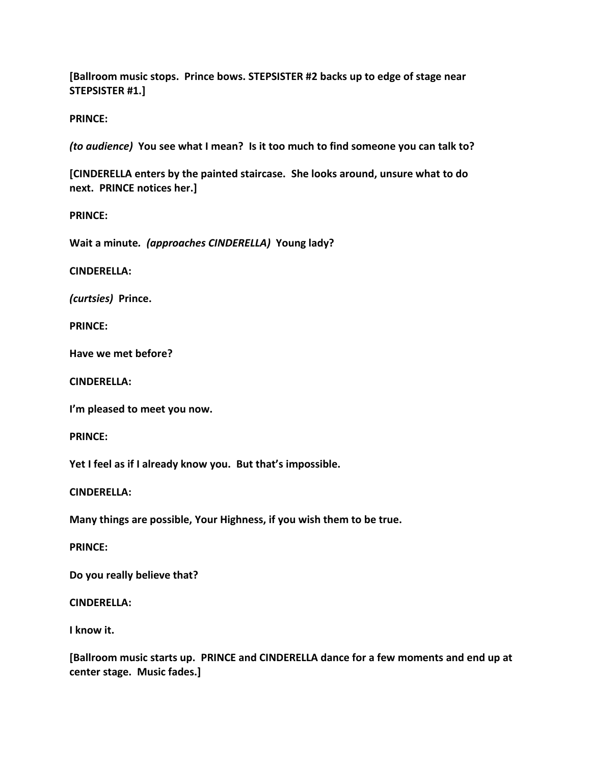**[Ballroom music stops. Prince bows. STEPSISTER #2 backs up to edge of stage near STEPSISTER #1.]**

**PRINCE:**

*(to audience)* **You see what I mean? Is it too much to find someone you can talk to?**

**[CINDERELLA enters by the painted staircase. She looks around, unsure what to do next. PRINCE notices her.]**

**PRINCE:**

**Wait a minute***. (approaches CINDERELLA)* **Young lady?**

**CINDERELLA:**

*(curtsies)* **Prince.**

**PRINCE:**

**Have we met before?**

**CINDERELLA:**

**I'm pleased to meet you now.**

**PRINCE:**

**Yet I feel as if I already know you. But that's impossible.**

**CINDERELLA:**

**Many things are possible, Your Highness, if you wish them to be true.**

**PRINCE:**

**Do you really believe that?**

**CINDERELLA:**

**I know it.**

**[Ballroom music starts up. PRINCE and CINDERELLA dance for a few moments and end up at center stage. Music fades.]**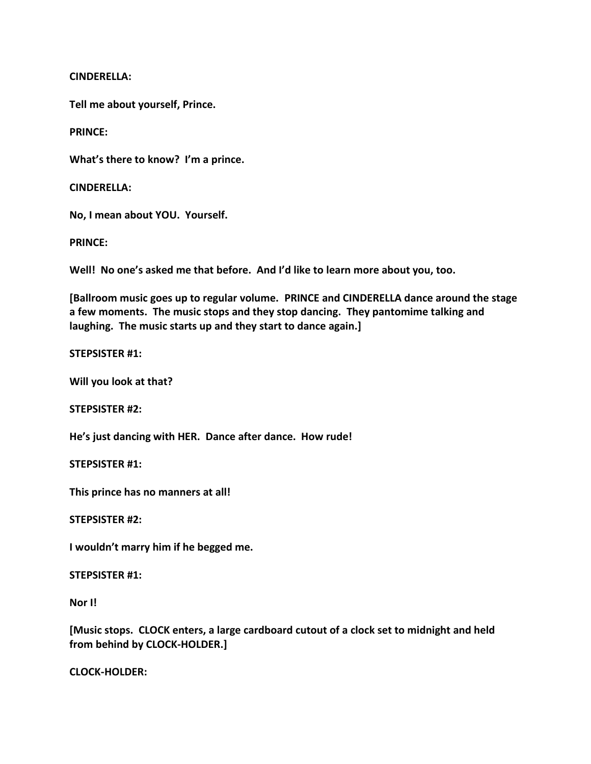**Tell me about yourself, Prince.**

**PRINCE:**

**What's there to know? I'm a prince.**

**CINDERELLA:**

**No, I mean about YOU. Yourself.**

**PRINCE:**

**Well! No one's asked me that before. And I'd like to learn more about you, too.**

**[Ballroom music goes up to regular volume. PRINCE and CINDERELLA dance around the stage a few moments. The music stops and they stop dancing. They pantomime talking and laughing. The music starts up and they start to dance again.]**

**STEPSISTER #1:**

**Will you look at that?**

**STEPSISTER #2:**

**He's just dancing with HER. Dance after dance. How rude!**

**STEPSISTER #1:**

**This prince has no manners at all!**

**STEPSISTER #2:**

**I wouldn't marry him if he begged me.**

**STEPSISTER #1:**

**Nor I!** 

**[Music stops. CLOCK enters, a large cardboard cutout of a clock set to midnight and held from behind by CLOCK-HOLDER.]**

**CLOCK-HOLDER:**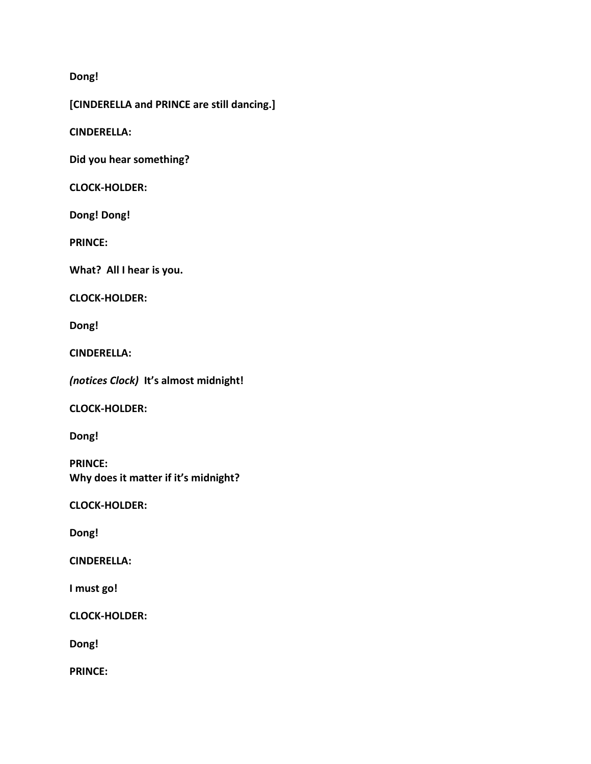# **Dong!**

**[CINDERELLA and PRINCE are still dancing.]**

**CINDERELLA:**

**Did you hear something?**

## **CLOCK-HOLDER:**

**Dong! Dong!**

**PRINCE:**

**What? All I hear is you.**

**CLOCK-HOLDER:**

**Dong!**

**CINDERELLA:**

*(notices Clock)* **It's almost midnight!**

**CLOCK-HOLDER:**

**Dong!**

**PRINCE: Why does it matter if it's midnight?**

**CLOCK-HOLDER:**

**Dong!**

**CINDERELLA:**

**I must go!**

**CLOCK-HOLDER:**

**Dong!**

**PRINCE:**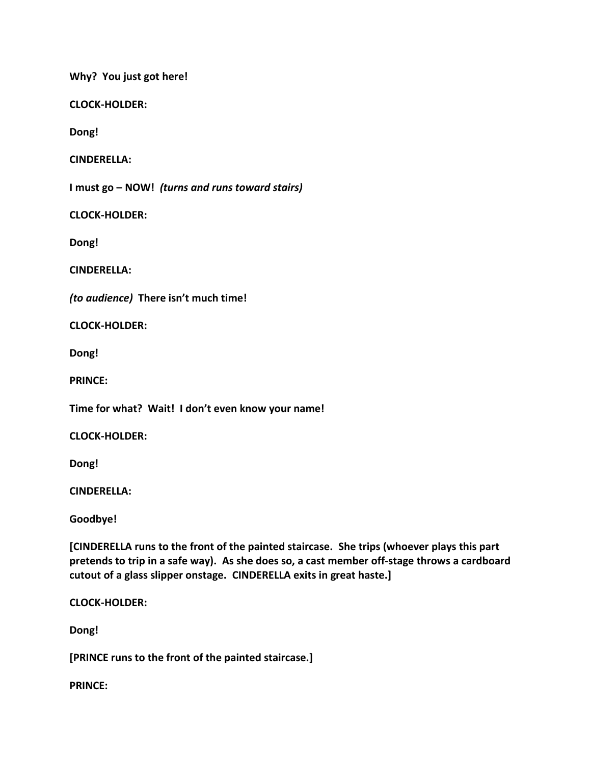**Why? You just got here!**

**CLOCK-HOLDER:**

**Dong!**

**CINDERELLA:**

**I must go – NOW!** *(turns and runs toward stairs)*

**CLOCK-HOLDER:**

**Dong!**

**CINDERELLA:**

*(to audience)* **There isn't much time!**

**CLOCK-HOLDER:**

**Dong!**

**PRINCE:**

**Time for what? Wait! I don't even know your name!**

**CLOCK-HOLDER:**

**Dong!**

**CINDERELLA:**

**Goodbye!**

**[CINDERELLA runs to the front of the painted staircase. She trips (whoever plays this part pretends to trip in a safe way). As she does so, a cast member off-stage throws a cardboard cutout of a glass slipper onstage. CINDERELLA exits in great haste.]**

**CLOCK-HOLDER:**

**Dong!**

**[PRINCE runs to the front of the painted staircase.]**

**PRINCE:**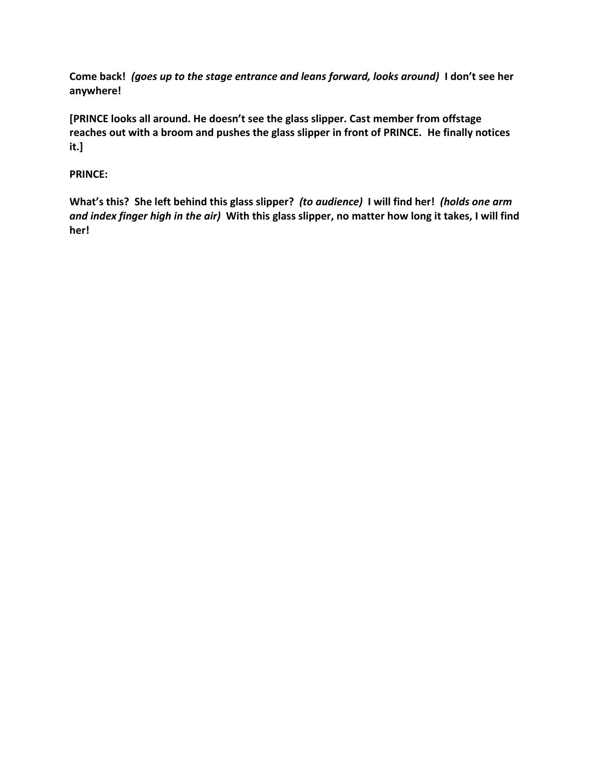**Come back!** *(goes up to the stage entrance and leans forward, looks around)* **I don't see her anywhere!** 

**[PRINCE looks all around. He doesn't see the glass slipper. Cast member from offstage reaches out with a broom and pushes the glass slipper in front of PRINCE. He finally notices it.]**

# **PRINCE:**

**What's this? She left behind this glass slipper?** *(to audience)* **I will find her!** *(holds one arm and index finger high in the air)* **With this glass slipper, no matter how long it takes, I will find her!**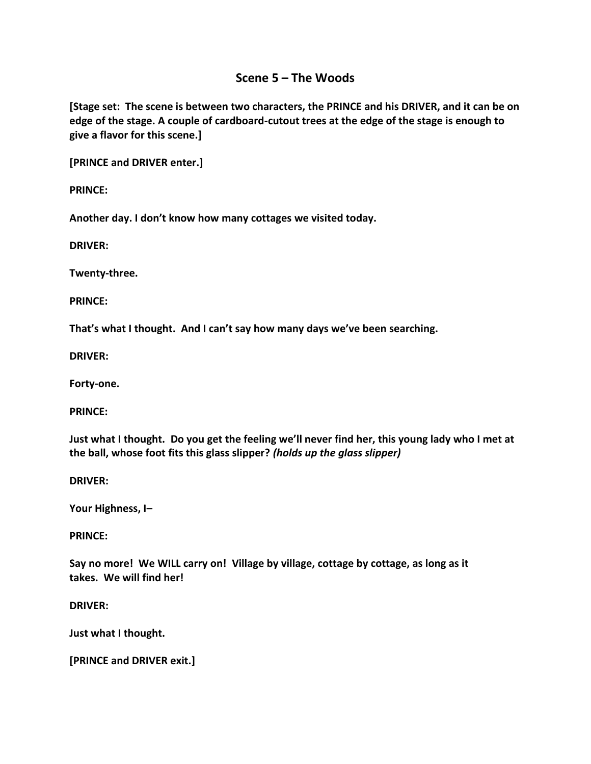# **Scene 5 – The Woods**

**[Stage set: The scene is between two characters, the PRINCE and his DRIVER, and it can be on edge of the stage. A couple of cardboard-cutout trees at the edge of the stage is enough to give a flavor for this scene.]**

**[PRINCE and DRIVER enter.]**

**PRINCE:**

**Another day. I don't know how many cottages we visited today.**

**DRIVER:**

**Twenty-three.**

**PRINCE:**

**That's what I thought. And I can't say how many days we've been searching.**

**DRIVER:**

**Forty-one.**

**PRINCE:**

**Just what I thought. Do you get the feeling we'll never find her, this young lady who I met at the ball, whose foot fits this glass slipper?** *(holds up the glass slipper)*

**DRIVER:**

**Your Highness, I–**

**PRINCE:**

**Say no more! We WILL carry on! Village by village, cottage by cottage, as long as it takes. We will find her!**

**DRIVER:**

**Just what I thought.**

**[PRINCE and DRIVER exit.]**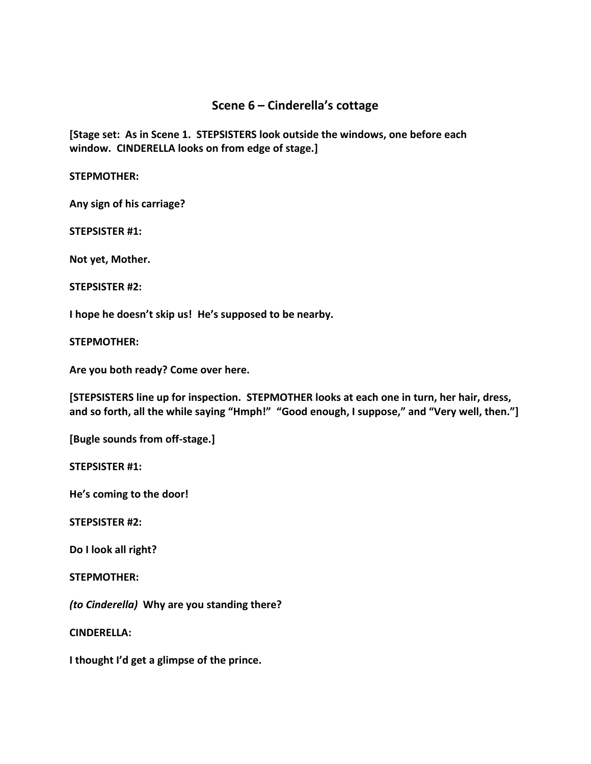# **Scene 6 – Cinderella's cottage**

**[Stage set: As in Scene 1. STEPSISTERS look outside the windows, one before each window. CINDERELLA looks on from edge of stage.]**

**STEPMOTHER:**

**Any sign of his carriage?**

**STEPSISTER #1:**

**Not yet, Mother.** 

**STEPSISTER #2:**

**I hope he doesn't skip us! He's supposed to be nearby.**

**STEPMOTHER:**

**Are you both ready? Come over here.**

**[STEPSISTERS line up for inspection. STEPMOTHER looks at each one in turn, her hair, dress, and so forth, all the while saying "Hmph!" "Good enough, I suppose," and "Very well, then."]**

**[Bugle sounds from off-stage.]**

**STEPSISTER #1:**

**He's coming to the door!**

**STEPSISTER #2:**

**Do I look all right?**

**STEPMOTHER:**

*(to Cinderella)* **Why are you standing there?**

**CINDERELLA:**

**I thought I'd get a glimpse of the prince.**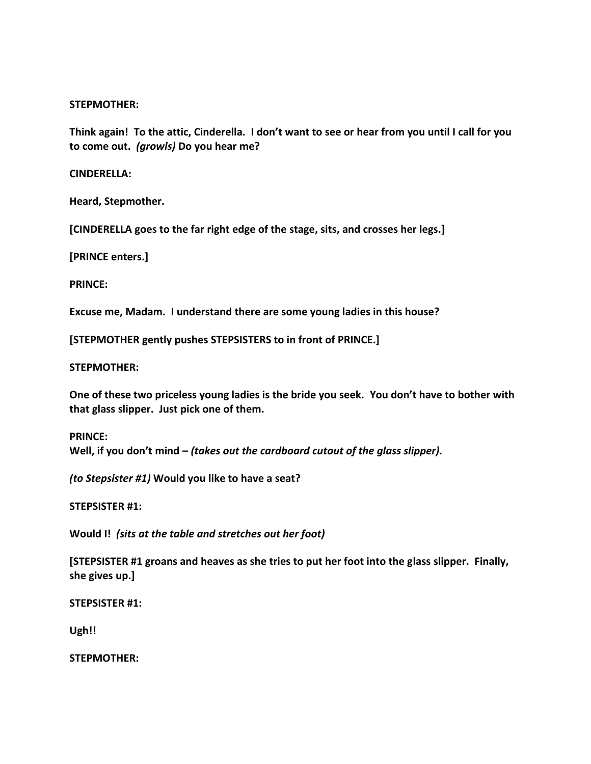#### **STEPMOTHER:**

**Think again! To the attic, Cinderella. I don't want to see or hear from you until I call for you to come out.** *(growls)* **Do you hear me?**

#### **CINDERELLA:**

**Heard, Stepmother.**

**[CINDERELLA goes to the far right edge of the stage, sits, and crosses her legs.]**

**[PRINCE enters.]**

**PRINCE:**

**Excuse me, Madam. I understand there are some young ladies in this house?**

**[STEPMOTHER gently pushes STEPSISTERS to in front of PRINCE.]**

**STEPMOTHER:**

**One of these two priceless young ladies is the bride you seek. You don't have to bother with that glass slipper. Just pick one of them.**

**PRINCE: Well, if you don't mind** *– (takes out the cardboard cutout of the glass slipper).*

*(to Stepsister #1)* **Would you like to have a seat?**

**STEPSISTER #1:**

**Would I!** *(sits at the table and stretches out her foot)*

**[STEPSISTER #1 groans and heaves as she tries to put her foot into the glass slipper. Finally, she gives up.]**

**STEPSISTER #1:**

**Ugh!!**

**STEPMOTHER:**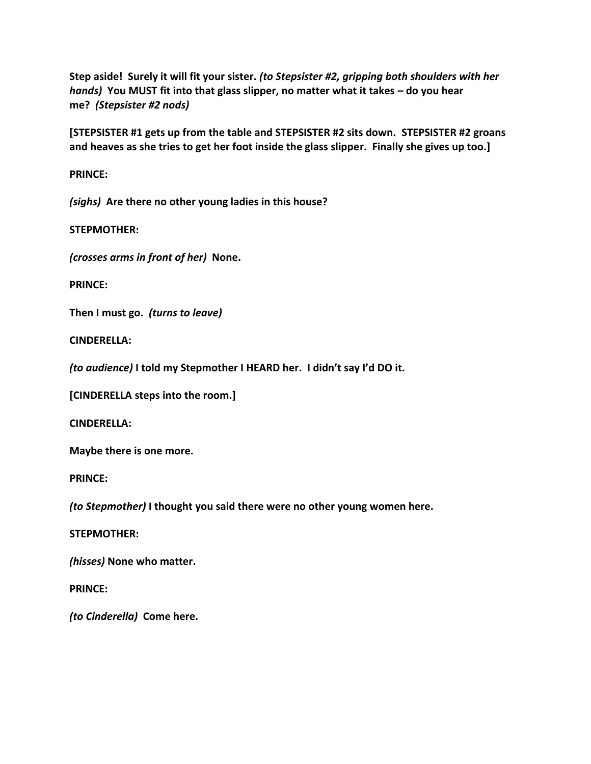**Step aside! Surely it will fit your sister.** *(to Stepsister #2, gripping both shoulders with her hands)* **You MUST fit into that glass slipper, no matter what it takes – do you hear me?** *(Stepsister #2 nods)*

**[STEPSISTER #1 gets up from the table and STEPSISTER #2 sits down. STEPSISTER #2 groans and heaves as she tries to get her foot inside the glass slipper. Finally she gives up too.]**

**PRINCE:**

*(sighs)* **Are there no other young ladies in this house?**

**STEPMOTHER:**

*(crosses arms in front of her)* **None.**

**PRINCE:**

**Then I must go.** *(turns to leave)*

**CINDERELLA:**

*(to audience)* **I told my Stepmother I HEARD her. I didn't say I'd DO it.**

**[CINDERELLA steps into the room.]**

**CINDERELLA:**

**Maybe there is one more.**

**PRINCE:**

*(to Stepmother)* **I thought you said there were no other young women here.**

**STEPMOTHER:**

*(hisses)* **None who matter.**

**PRINCE:**

*(to Cinderella)* **Come here.**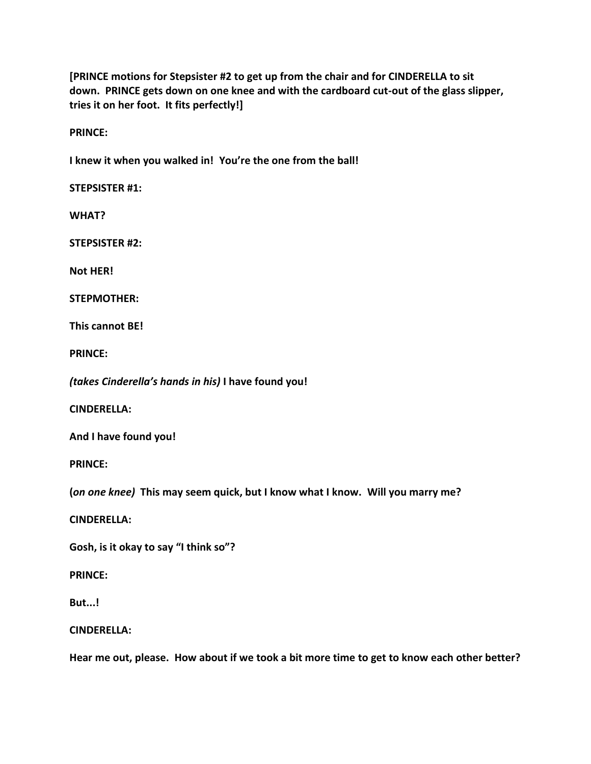**[PRINCE motions for Stepsister #2 to get up from the chair and for CINDERELLA to sit down. PRINCE gets down on one knee and with the cardboard cut-out of the glass slipper, tries it on her foot. It fits perfectly!]**

**PRINCE:**

**I knew it when you walked in! You're the one from the ball!**

**STEPSISTER #1:**

**WHAT?**

**STEPSISTER #2:**

**Not HER!**

**STEPMOTHER:**

**This cannot BE!**

**PRINCE:**

*(takes Cinderella's hands in his)* **I have found you!**

**CINDERELLA:**

**And I have found you!**

**PRINCE:**

**(***on one knee)* **This may seem quick, but I know what I know. Will you marry me?**

**CINDERELLA:**

**Gosh, is it okay to say "I think so"?**

**PRINCE:**

**But...!**

**CINDERELLA:**

**Hear me out, please. How about if we took a bit more time to get to know each other better?**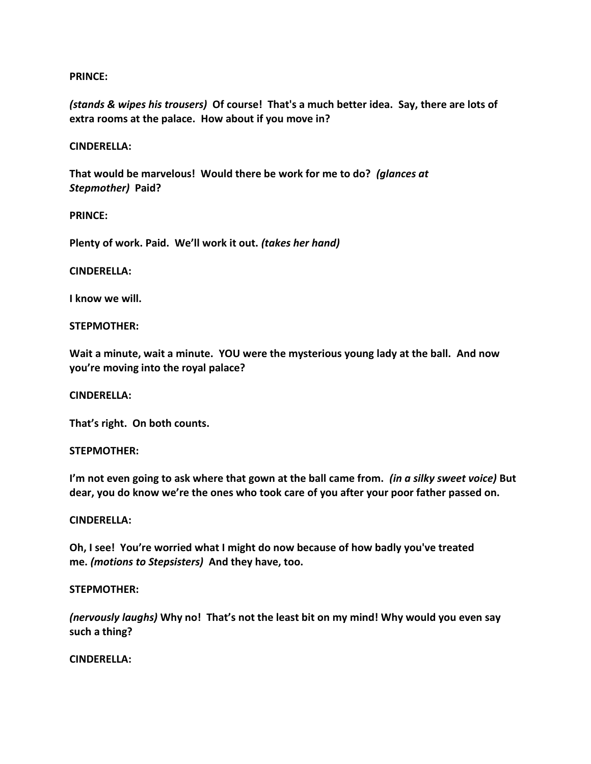## **PRINCE:**

*(stands & wipes his trousers)* **Of course! That's a much better idea. Say, there are lots of extra rooms at the palace. How about if you move in?** 

## **CINDERELLA:**

**That would be marvelous! Would there be work for me to do?** *(glances at Stepmother)* **Paid?**

## **PRINCE:**

**Plenty of work. Paid. We'll work it out.** *(takes her hand)*

## **CINDERELLA:**

**I know we will.**

## **STEPMOTHER:**

**Wait a minute, wait a minute. YOU were the mysterious young lady at the ball. And now you're moving into the royal palace?**

#### **CINDERELLA:**

**That's right. On both counts.**

#### **STEPMOTHER:**

**I'm not even going to ask where that gown at the ball came from.** *(in a silky sweet voice)* **But dear, you do know we're the ones who took care of you after your poor father passed on.**

#### **CINDERELLA:**

**Oh, I see! You're worried what I might do now because of how badly you've treated me.** *(motions to Stepsisters)* **And they have, too.**

#### **STEPMOTHER:**

*(nervously laughs)* **Why no! That's not the least bit on my mind! Why would you even say such a thing?**

#### **CINDERELLA:**